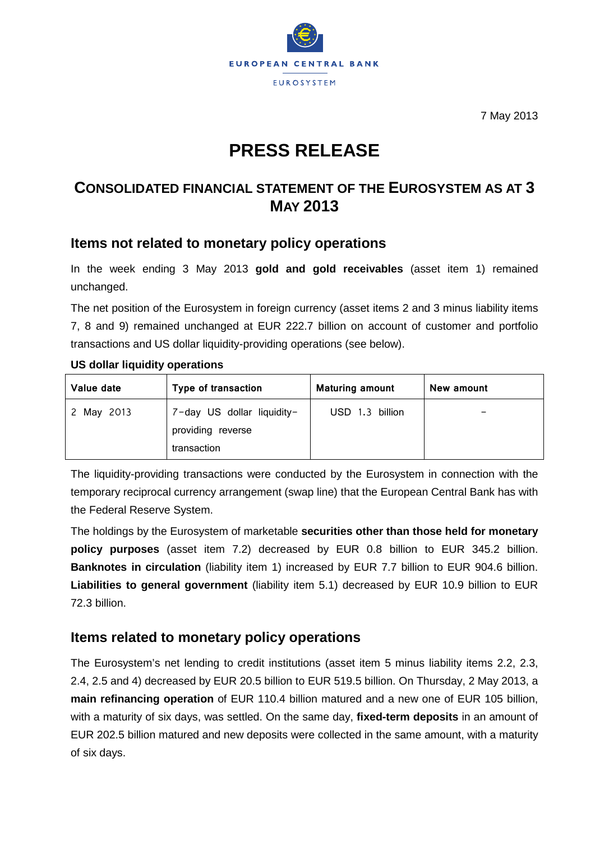

7 May 2013

# **PRESS RELEASE**

## **CONSOLIDATED FINANCIAL STATEMENT OF THE EUROSYSTEM AS AT 3 MAY 2013**

## **Items not related to monetary policy operations**

In the week ending 3 May 2013 **gold and gold receivables** (asset item 1) remained unchanged.

The net position of the Eurosystem in foreign currency (asset items 2 and 3 minus liability items 7, 8 and 9) remained unchanged at EUR 222.7 billion on account of customer and portfolio transactions and US dollar liquidity-providing operations (see below).

#### **US dollar liquidity operations**

| Value date | Type of transaction                                            | <b>Maturing amount</b> | New amount |
|------------|----------------------------------------------------------------|------------------------|------------|
| 2 May 2013 | 7-day US dollar liquidity-<br>providing reverse<br>transaction | USD 1.3 billion        |            |

The liquidity-providing transactions were conducted by the Eurosystem in connection with the temporary reciprocal currency arrangement (swap line) that the European Central Bank has with the Federal Reserve System.

The holdings by the Eurosystem of marketable **securities other than those held for monetary policy purposes** (asset item 7.2) decreased by EUR 0.8 billion to EUR 345.2 billion. **Banknotes in circulation** (liability item 1) increased by EUR 7.7 billion to EUR 904.6 billion. **Liabilities to general government** (liability item 5.1) decreased by EUR 10.9 billion to EUR 72.3 billion.

### **Items related to monetary policy operations**

The Eurosystem's net lending to credit institutions (asset item 5 minus liability items 2.2, 2.3, 2.4, 2.5 and 4) decreased by EUR 20.5 billion to EUR 519.5 billion. On Thursday, 2 May 2013, a **main refinancing operation** of EUR 110.4 billion matured and a new one of EUR 105 billion, with a maturity of six days, was settled. On the same day, **fixed-term deposits** in an amount of EUR 202.5 billion matured and new deposits were collected in the same amount, with a maturity of six days.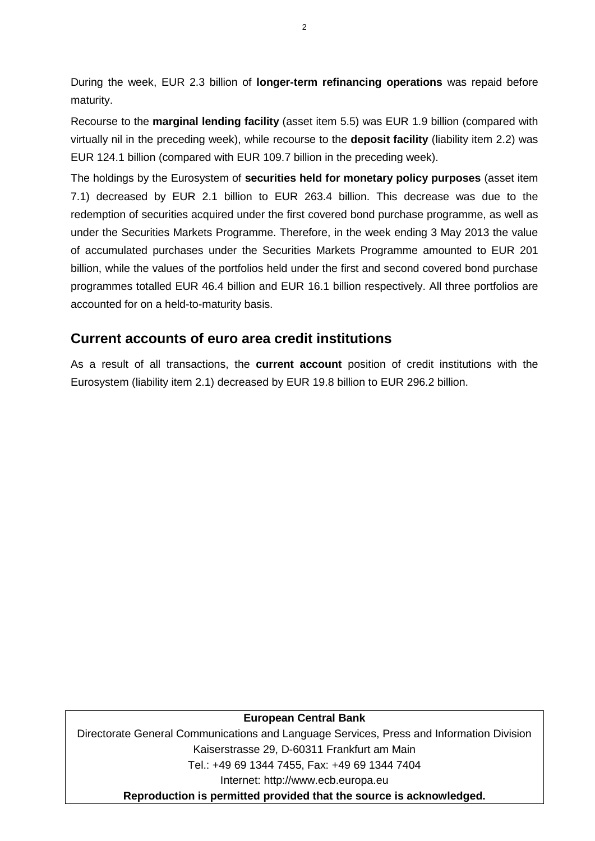During the week, EUR 2.3 billion of **longer-term refinancing operations** was repaid before maturity.

Recourse to the **marginal lending facility** (asset item 5.5) was EUR 1.9 billion (compared with virtually nil in the preceding week), while recourse to the **deposit facility** (liability item 2.2) was EUR 124.1 billion (compared with EUR 109.7 billion in the preceding week).

The holdings by the Eurosystem of **securities held for monetary policy purposes** (asset item 7.1) decreased by EUR 2.1 billion to EUR 263.4 billion. This decrease was due to the redemption of securities acquired under the first covered bond purchase programme, as well as under the Securities Markets Programme. Therefore, in the week ending 3 May 2013 the value of accumulated purchases under the Securities Markets Programme amounted to EUR 201 billion, while the values of the portfolios held under the first and second covered bond purchase programmes totalled EUR 46.4 billion and EUR 16.1 billion respectively. All three portfolios are accounted for on a held-to-maturity basis.

## **Current accounts of euro area credit institutions**

As a result of all transactions, the **current account** position of credit institutions with the Eurosystem (liability item 2.1) decreased by EUR 19.8 billion to EUR 296.2 billion.

#### **European Central Bank**

Directorate General Communications and Language Services, Press and Information Division Kaiserstrasse 29, D-60311 Frankfurt am Main Tel.: +49 69 1344 7455, Fax: +49 69 1344 7404 Internet: http://www.ecb.europa.eu **Reproduction is permitted provided that the source is acknowledged.**